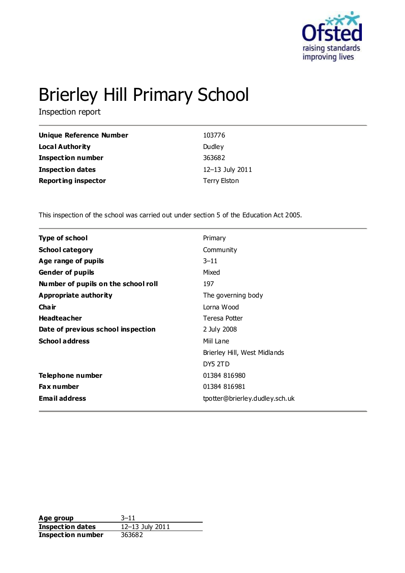

# Brierley Hill Primary School

Inspection report

| Unique Reference Number    | 103776          |
|----------------------------|-----------------|
| <b>Local Authority</b>     | Dudley          |
| <b>Inspection number</b>   | 363682          |
| <b>Inspection dates</b>    | 12-13 July 2011 |
| <b>Reporting inspector</b> | Terry Elston    |

This inspection of the school was carried out under section 5 of the Education Act 2005.

| Type of school                      | Primary                        |
|-------------------------------------|--------------------------------|
| <b>School category</b>              | Community                      |
| Age range of pupils                 | $3 - 11$                       |
| <b>Gender of pupils</b>             | Mixed                          |
| Number of pupils on the school roll | 197                            |
| <b>Appropriate authority</b>        | The governing body             |
| Cha ir                              | Lorna Wood                     |
| <b>Headteacher</b>                  | Teresa Potter                  |
| Date of previous school inspection  | 2 July 2008                    |
| <b>School address</b>               | Miil Lane                      |
|                                     | Brierley Hill, West Midlands   |
|                                     | DY5 2TD                        |
| Telephone number                    | 01384 816980                   |
| <b>Fax number</b>                   | 01384 816981                   |
| <b>Email address</b>                | tpotter@brierley.dudley.sch.uk |
|                                     |                                |

**Age group** 3-11<br> **Inspection dates** 12-13 July 2011 **Inspection dates Inspection number** 363682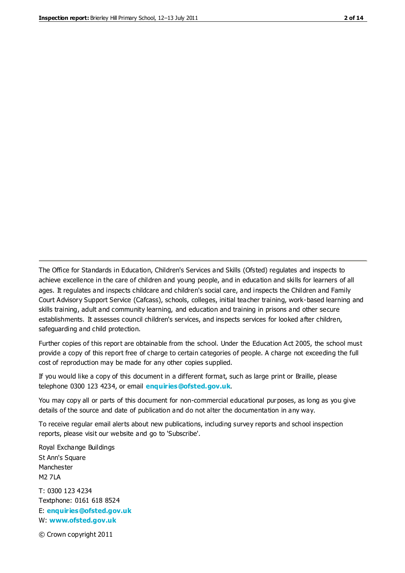The Office for Standards in Education, Children's Services and Skills (Ofsted) regulates and inspects to achieve excellence in the care of children and young people, and in education and skills for learners of all ages. It regulates and inspects childcare and children's social care, and inspects the Children and Family Court Advisory Support Service (Cafcass), schools, colleges, initial teacher training, work-based learning and skills training, adult and community learning, and education and training in prisons and other secure establishments. It assesses council children's services, and inspects services for looked after children, safeguarding and child protection.

Further copies of this report are obtainable from the school. Under the Education Act 2005, the school must provide a copy of this report free of charge to certain categories of people. A charge not exceeding the full cost of reproduction may be made for any other copies supplied.

If you would like a copy of this document in a different format, such as large print or Braille, please telephone 0300 123 4234, or email **[enquiries@ofsted.gov.uk](mailto:enquiries@ofsted.gov.uk)**.

You may copy all or parts of this document for non-commercial educational purposes, as long as you give details of the source and date of publication and do not alter the documentation in any way.

To receive regular email alerts about new publications, including survey reports and school inspection reports, please visit our website and go to 'Subscribe'.

Royal Exchange Buildings St Ann's Square Manchester M2 7LA T: 0300 123 4234 Textphone: 0161 618 8524 E: **[enquiries@ofsted.gov.uk](mailto:enquiries@ofsted.gov.uk)**

W: **[www.ofsted.gov.uk](http://www.ofsted.gov.uk/)**

© Crown copyright 2011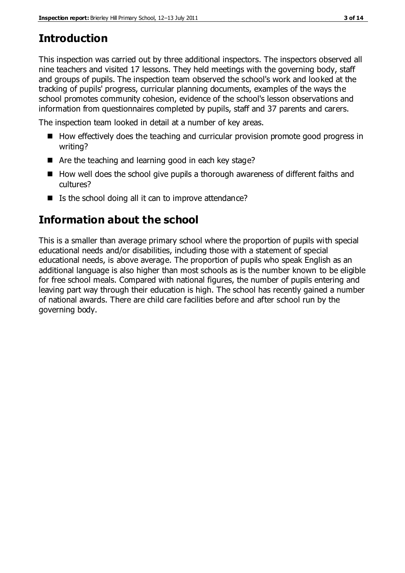# **Introduction**

This inspection was carried out by three additional inspectors. The inspectors observed all nine teachers and visited 17 lessons. They held meetings with the governing body, staff and groups of pupils. The inspection team observed the school's work and looked at the tracking of pupils' progress, curricular planning documents, examples of the ways the school promotes community cohesion, evidence of the school's lesson observations and information from questionnaires completed by pupils, staff and 37 parents and carers.

The inspection team looked in detail at a number of key areas.

- $\blacksquare$  How effectively does the teaching and curricular provision promote good progress in writing?
- Are the teaching and learning good in each key stage?
- $\blacksquare$  How well does the school give pupils a thorough awareness of different faiths and cultures?
- $\blacksquare$  Is the school doing all it can to improve attendance?

# **Information about the school**

This is a smaller than average primary school where the proportion of pupils with special educational needs and/or disabilities, including those with a statement of special educational needs, is above average. The proportion of pupils who speak English as an additional language is also higher than most schools as is the number known to be eligible for free school meals. Compared with national figures, the number of pupils entering and leaving part way through their education is high. The school has recently gained a number of national awards. There are child care facilities before and after school run by the governing body.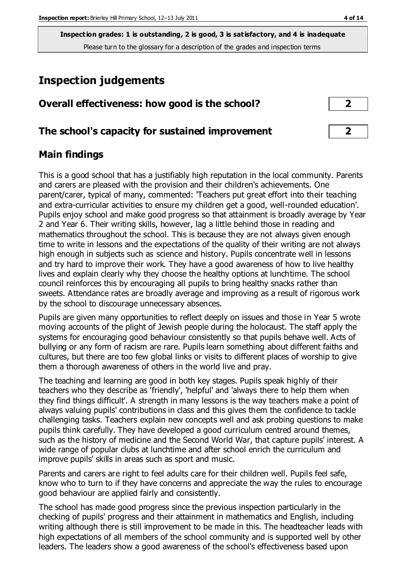**Inspection grades: 1 is outstanding, 2 is good, 3 is satisfactory, and 4 is inadequate** Please turn to the glossary for a description of the grades and inspection terms

# **Inspection judgements**

| Overall effectiveness: how good is the school? |  |
|------------------------------------------------|--|
|                                                |  |

## **The school's capacity for sustained improvement 2**

## **Main findings**

This is a good school that has a justifiably high reputation in the local community. Parents and carers are pleased with the provision and their children's achievements. One parent/carer, typical of many, commented: 'Teachers put great effort into their teaching and extra-curricular activities to ensure my children get a good, well-rounded education'. Pupils enjoy school and make good progress so that attainment is broadly average by Year 2 and Year 6. Their writing skills, however, lag a little behind those in reading and mathematics throughout the school. This is because they are not always given enough time to write in lessons and the expectations of the quality of their writing are not always high enough in subjects such as science and history. Pupils concentrate well in lessons and try hard to improve their work. They have a good awareness of how to live healthy lives and explain clearly why they choose the healthy options at lunchtime. The school council reinforces this by encouraging all pupils to bring healthy snacks rather than sweets. Attendance rates are broadly average and improving as a result of rigorous work by the school to discourage unnecessary absences.

Pupils are given many opportunities to reflect deeply on issues and those in Year 5 wrote moving accounts of the plight of Jewish people during the holocaust. The staff apply the systems for encouraging good behaviour consistently so that pupils behave well. Acts of bullying or any form of racism are rare. Pupils learn something about different faiths and cultures, but there are too few global links or visits to different places of worship to give them a thorough awareness of others in the world live and pray.

The teaching and learning are good in both key stages. Pupils speak highly of their teachers who they describe as 'friendly', 'helpful' and 'always there to help them when they find things difficult'. A strength in many lessons is the way teachers make a point of always valuing pupils' contributions in class and this gives them the confidence to tackle challenging tasks. Teachers explain new concepts well and ask probing questions to make pupils think carefully. They have developed a good curriculum centred around themes, such as the history of medicine and the Second World War, that capture pupils' interest. A wide range of popular clubs at lunchtime and after school enrich the curriculum and improve pupils' skills in areas such as sport and music.

Parents and carers are right to feel adults care for their children well. Pupils feel safe, know who to turn to if they have concerns and appreciate the way the rules to encourage good behaviour are applied fairly and consistently.

The school has made good progress since the previous inspection particularly in the checking of pupils' progress and their attainment in mathematics and English, including writing although there is still improvement to be made in this. The headteacher leads with high expectations of all members of the school community and is supported well by other leaders. The leaders show a good awareness of the school's effectiveness based upon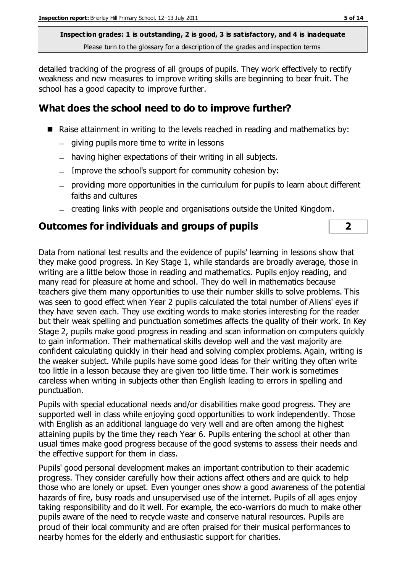**Inspection grades: 1 is outstanding, 2 is good, 3 is satisfactory, and 4 is inadequate** Please turn to the glossary for a description of the grades and inspection terms

detailed tracking of the progress of all groups of pupils. They work effectively to rectify weakness and new measures to improve writing skills are beginning to bear fruit. The school has a good capacity to improve further.

# **What does the school need to do to improve further?**

- Raise attainment in writing to the levels reached in reading and mathematics by:
	- $-$  giving pupils more time to write in lessons
	- having higher expectations of their writing in all subjects.
	- Improve the school's support for community cohesion by:
	- providing more opportunities in the curriculum for pupils to learn about different faiths and cultures
	- creating links with people and organisations outside the United Kingdom.

#### **Outcomes for individuals and groups of pupils 2**

Data from national test results and the evidence of pupils' learning in lessons show that they make good progress. In Key Stage 1, while standards are broadly average, those in writing are a little below those in reading and mathematics. Pupils enjoy reading, and many read for pleasure at home and school. They do well in mathematics because teachers give them many opportunities to use their number skills to solve problems. This was seen to good effect when Year 2 pupils calculated the total number of Aliens' eyes if they have seven each. They use exciting words to make stories interesting for the reader but their weak spelling and punctuation sometimes affects the quality of their work. In Key Stage 2, pupils make good progress in reading and scan information on computers quickly to gain information. Their mathematical skills develop well and the vast majority are confident calculating quickly in their head and solving complex problems. Again, writing is the weaker subject. While pupils have some good ideas for their writing they often write too little in a lesson because they are given too little time. Their work is sometimes careless when writing in subjects other than English leading to errors in spelling and punctuation.

Pupils with special educational needs and/or disabilities make good progress. They are supported well in class while enjoying good opportunities to work independently. Those with English as an additional language do very well and are often among the highest attaining pupils by the time they reach Year 6. Pupils entering the school at other than usual times make good progress because of the good systems to assess their needs and the effective support for them in class.

Pupils' good personal development makes an important contribution to their academic progress. They consider carefully how their actions affect others and are quick to help those who are lonely or upset. Even younger ones show a good awareness of the potential hazards of fire, busy roads and unsupervised use of the internet. Pupils of all ages enjoy taking responsibility and do it well. For example, the eco-warriors do much to make other pupils aware of the need to recycle waste and conserve natural resources. Pupils are proud of their local community and are often praised for their musical performances to nearby homes for the elderly and enthusiastic support for charities.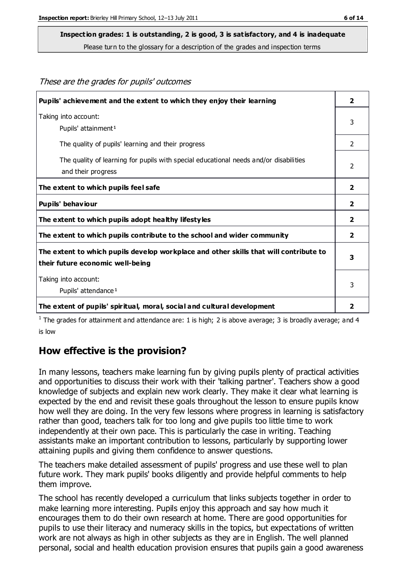These are the grades for pupils' outcomes

#### **Inspection grades: 1 is outstanding, 2 is good, 3 is satisfactory, and 4 is inadequate**

Please turn to the glossary for a description of the grades and inspection terms

| Pupils' achievement and the extent to which they enjoy their learning                                                     | $\overline{\mathbf{2}}$ |
|---------------------------------------------------------------------------------------------------------------------------|-------------------------|
| Taking into account:<br>Pupils' attainment <sup>1</sup>                                                                   | 3                       |
| The quality of pupils' learning and their progress                                                                        | 2                       |
| The quality of learning for pupils with special educational needs and/or disabilities<br>and their progress               | $\mathcal{P}$           |
| The extent to which pupils feel safe                                                                                      | $\overline{\mathbf{2}}$ |
| Pupils' behaviour                                                                                                         | 2                       |
| The extent to which pupils adopt healthy lifestyles                                                                       | $\overline{\mathbf{2}}$ |
| The extent to which pupils contribute to the school and wider community                                                   | $\mathbf{2}$            |
| The extent to which pupils develop workplace and other skills that will contribute to<br>their future economic well-being |                         |
| Taking into account:<br>Pupils' attendance <sup>1</sup>                                                                   | 3                       |
| The extent of pupils' spiritual, moral, social and cultural development                                                   |                         |

<sup>1</sup> The grades for attainment and attendance are: 1 is high; 2 is above average; 3 is broadly average; and 4 is low

#### **How effective is the provision?**

In many lessons, teachers make learning fun by giving pupils plenty of practical activities and opportunities to discuss their work with their 'talking partner'. Teachers show a good knowledge of subjects and explain new work clearly. They make it clear what learning is expected by the end and revisit these goals throughout the lesson to ensure pupils know how well they are doing. In the very few lessons where progress in learning is satisfactory rather than good, teachers talk for too long and give pupils too little time to work independently at their own pace. This is particularly the case in writing. Teaching assistants make an important contribution to lessons, particularly by supporting lower attaining pupils and giving them confidence to answer questions.

The teachers make detailed assessment of pupils' progress and use these well to plan future work. They mark pupils' books diligently and provide helpful comments to help them improve.

The school has recently developed a curriculum that links subjects together in order to make learning more interesting. Pupils enjoy this approach and say how much it encourages them to do their own research at home. There are good opportunities for pupils to use their literacy and numeracy skills in the topics, but expectations of written work are not always as high in other subjects as they are in English. The well planned personal, social and health education provision ensures that pupils gain a good awareness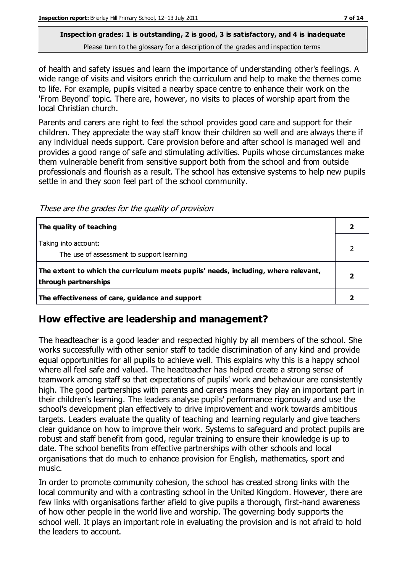#### **Inspection grades: 1 is outstanding, 2 is good, 3 is satisfactory, and 4 is inadequate** Please turn to the glossary for a description of the grades and inspection terms

of health and safety issues and learn the importance of understanding other's feelings. A wide range of visits and visitors enrich the curriculum and help to make the themes come to life. For example, pupils visited a nearby space centre to enhance their work on the 'From Beyond' topic. There are, however, no visits to places of worship apart from the local Christian church.

Parents and carers are right to feel the school provides good care and support for their children. They appreciate the way staff know their children so well and are always there if any individual needs support. Care provision before and after school is managed well and provides a good range of safe and stimulating activities. Pupils whose circumstances make them vulnerable benefit from sensitive support both from the school and from outside professionals and flourish as a result. The school has extensive systems to help new pupils settle in and they soon feel part of the school community.

These are the grades for the quality of provision

| The quality of teaching                                                                                    |  |
|------------------------------------------------------------------------------------------------------------|--|
| Taking into account:<br>The use of assessment to support learning                                          |  |
| The extent to which the curriculum meets pupils' needs, including, where relevant,<br>through partnerships |  |
| The effectiveness of care, guidance and support                                                            |  |

## **How effective are leadership and management?**

The headteacher is a good leader and respected highly by all members of the school. She works successfully with other senior staff to tackle discrimination of any kind and provide equal opportunities for all pupils to achieve well. This explains why this is a happy school where all feel safe and valued. The headteacher has helped create a strong sense of teamwork among staff so that expectations of pupils' work and behaviour are consistently high. The good partnerships with parents and carers means they play an important part in their children's learning. The leaders analyse pupils' performance rigorously and use the school's development plan effectively to drive improvement and work towards ambitious targets. Leaders evaluate the quality of teaching and learning regularly and give teachers clear guidance on how to improve their work. Systems to safeguard and protect pupils are robust and staff benefit from good, regular training to ensure their knowledge is up to date. The school benefits from effective partnerships with other schools and local organisations that do much to enhance provision for English, mathematics, sport and music.

In order to promote community cohesion, the school has created strong links with the local community and with a contrasting school in the United Kingdom. However, there are few links with organisations farther afield to give pupils a thorough, first-hand awareness of how other people in the world live and worship. The governing body supports the school well. It plays an important role in evaluating the provision and is not afraid to hold the leaders to account.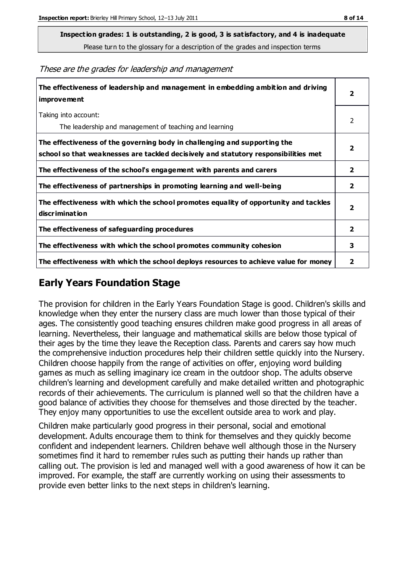**Inspection grades: 1 is outstanding, 2 is good, 3 is satisfactory, and 4 is inadequate**

Please turn to the glossary for a description of the grades and inspection terms

These are the grades for leadership and management

| The effectiveness of leadership and management in embedding ambition and driving<br>improvement                                                                  |                         |
|------------------------------------------------------------------------------------------------------------------------------------------------------------------|-------------------------|
| Taking into account:<br>The leadership and management of teaching and learning                                                                                   | 2                       |
| The effectiveness of the governing body in challenging and supporting the<br>school so that weaknesses are tackled decisively and statutory responsibilities met | $\overline{2}$          |
| The effectiveness of the school's engagement with parents and carers                                                                                             | 2                       |
| The effectiveness of partnerships in promoting learning and well-being                                                                                           | $\mathbf{2}$            |
| The effectiveness with which the school promotes equality of opportunity and tackles<br>discrimination                                                           | $\overline{\mathbf{2}}$ |
| The effectiveness of safeguarding procedures                                                                                                                     | 2                       |
| The effectiveness with which the school promotes community cohesion                                                                                              | 3                       |
| The effectiveness with which the school deploys resources to achieve value for money                                                                             | 2                       |

### **Early Years Foundation Stage**

The provision for children in the Early Years Foundation Stage is good. Children's skills and knowledge when they enter the nursery class are much lower than those typical of their ages. The consistently good teaching ensures children make good progress in all areas of learning. Nevertheless, their language and mathematical skills are below those typical of their ages by the time they leave the Reception class. Parents and carers say how much the comprehensive induction procedures help their children settle quickly into the Nursery. Children choose happily from the range of activities on offer, enjoying word building games as much as selling imaginary ice cream in the outdoor shop. The adults observe children's learning and development carefully and make detailed written and photographic records of their achievements. The curriculum is planned well so that the children have a good balance of activities they choose for themselves and those directed by the teacher. They enjoy many opportunities to use the excellent outside area to work and play.

Children make particularly good progress in their personal, social and emotional development. Adults encourage them to think for themselves and they quickly become confident and independent learners. Children behave well although those in the Nursery sometimes find it hard to remember rules such as putting their hands up rather than calling out. The provision is led and managed well with a good awareness of how it can be improved. For example, the staff are currently working on using their assessments to provide even better links to the next steps in children's learning.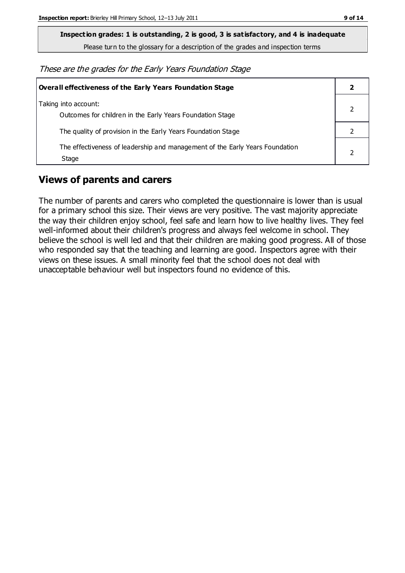**Inspection grades: 1 is outstanding, 2 is good, 3 is satisfactory, and 4 is inadequate**

Please turn to the glossary for a description of the grades and inspection terms

These are the grades for the Early Years Foundation Stage

| Overall effectiveness of the Early Years Foundation Stage                             |  |
|---------------------------------------------------------------------------------------|--|
| Taking into account:<br>Outcomes for children in the Early Years Foundation Stage     |  |
| The quality of provision in the Early Years Foundation Stage                          |  |
| The effectiveness of leadership and management of the Early Years Foundation<br>Stage |  |

## **Views of parents and carers**

The number of parents and carers who completed the questionnaire is lower than is usual for a primary school this size. Their views are very positive. The vast majority appreciate the way their children enjoy school, feel safe and learn how to live healthy lives. They feel well-informed about their children's progress and always feel welcome in school. They believe the school is well led and that their children are making good progress. All of those who responded say that the teaching and learning are good. Inspectors agree with their views on these issues. A small minority feel that the school does not deal with unacceptable behaviour well but inspectors found no evidence of this.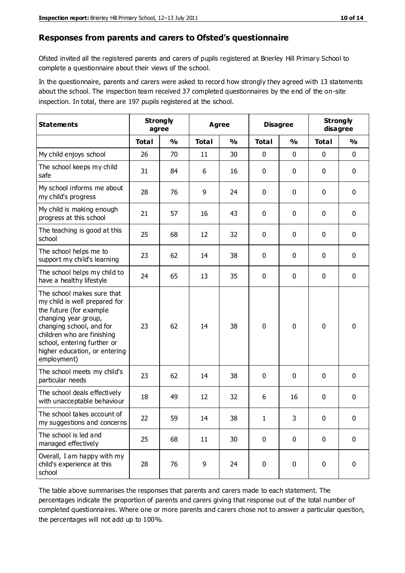#### **Responses from parents and carers to Ofsted's questionnaire**

Ofsted invited all the registered parents and carers of pupils registered at Brierley Hill Primary School to complete a questionnaire about their views of the school.

In the questionnaire, parents and carers were asked to record how strongly they agreed with 13 statements about the school. The inspection team received 37 completed questionnaires by the end of the on-site inspection. In total, there are 197 pupils registered at the school.

| <b>Statements</b>                                                                                                                                                                                                                                       | <b>Strongly</b><br>agree |               |              | <b>Agree</b>  |              | <b>Disagree</b> |              | <b>Strongly</b><br>disagree |
|---------------------------------------------------------------------------------------------------------------------------------------------------------------------------------------------------------------------------------------------------------|--------------------------|---------------|--------------|---------------|--------------|-----------------|--------------|-----------------------------|
|                                                                                                                                                                                                                                                         | <b>Total</b>             | $\frac{0}{0}$ | <b>Total</b> | $\frac{0}{0}$ | <b>Total</b> | $\frac{0}{0}$   | <b>Total</b> | $\frac{0}{0}$               |
| My child enjoys school                                                                                                                                                                                                                                  | 26                       | 70            | 11           | 30            | 0            | 0               | 0            | $\mathbf 0$                 |
| The school keeps my child<br>safe                                                                                                                                                                                                                       | 31                       | 84            | 6            | 16            | 0            | 0               | $\mathbf 0$  | $\mathbf 0$                 |
| My school informs me about<br>my child's progress                                                                                                                                                                                                       | 28                       | 76            | 9            | 24            | 0            | 0               | $\mathbf 0$  | $\mathbf 0$                 |
| My child is making enough<br>progress at this school                                                                                                                                                                                                    | 21                       | 57            | 16           | 43            | 0            | 0               | 0            | $\mathbf 0$                 |
| The teaching is good at this<br>school                                                                                                                                                                                                                  | 25                       | 68            | 12           | 32            | 0            | 0               | $\mathbf 0$  | $\mathbf 0$                 |
| The school helps me to<br>support my child's learning                                                                                                                                                                                                   | 23                       | 62            | 14           | 38            | 0            | 0               | $\mathbf 0$  | $\mathbf 0$                 |
| The school helps my child to<br>have a healthy lifestyle                                                                                                                                                                                                | 24                       | 65            | 13           | 35            | 0            | $\mathbf 0$     | $\mathbf 0$  | $\mathbf 0$                 |
| The school makes sure that<br>my child is well prepared for<br>the future (for example<br>changing year group,<br>changing school, and for<br>children who are finishing<br>school, entering further or<br>higher education, or entering<br>employment) | 23                       | 62            | 14           | 38            | $\mathbf 0$  | $\mathbf{0}$    | $\mathbf 0$  | $\mathbf 0$                 |
| The school meets my child's<br>particular needs                                                                                                                                                                                                         | 23                       | 62            | 14           | 38            | 0            | 0               | $\mathbf 0$  | $\mathbf 0$                 |
| The school deals effectively<br>with unacceptable behaviour                                                                                                                                                                                             | 18                       | 49            | 12           | 32            | 6            | 16              | 0            | 0                           |
| The school takes account of<br>my suggestions and concerns                                                                                                                                                                                              | 22                       | 59            | 14           | 38            | 1            | 3               | 0            | 0                           |
| The school is led and<br>managed effectively                                                                                                                                                                                                            | 25                       | 68            | 11           | 30            | $\mathbf 0$  | $\mathbf 0$     | $\mathbf 0$  | $\mathbf 0$                 |
| Overall, I am happy with my<br>child's experience at this<br>school                                                                                                                                                                                     | 28                       | 76            | 9            | 24            | $\pmb{0}$    | $\mathbf 0$     | $\mathbf 0$  | $\mathbf 0$                 |

The table above summarises the responses that parents and carers made to each statement. The percentages indicate the proportion of parents and carers giving that response out of the total number of completed questionnaires. Where one or more parents and carers chose not to answer a particular question, the percentages will not add up to 100%.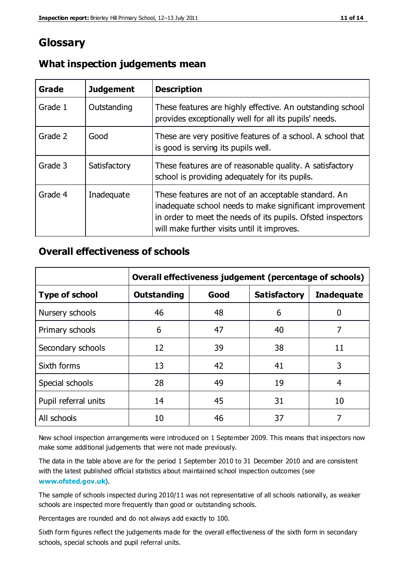# **Glossary**

| Grade   | <b>Judgement</b> | <b>Description</b>                                                                                                                                                                                                            |
|---------|------------------|-------------------------------------------------------------------------------------------------------------------------------------------------------------------------------------------------------------------------------|
| Grade 1 | Outstanding      | These features are highly effective. An outstanding school<br>provides exceptionally well for all its pupils' needs.                                                                                                          |
| Grade 2 | Good             | These are very positive features of a school. A school that<br>is good is serving its pupils well.                                                                                                                            |
| Grade 3 | Satisfactory     | These features are of reasonable quality. A satisfactory<br>school is providing adequately for its pupils.                                                                                                                    |
| Grade 4 | Inadequate       | These features are not of an acceptable standard. An<br>inadequate school needs to make significant improvement<br>in order to meet the needs of its pupils. Ofsted inspectors<br>will make further visits until it improves. |

#### **What inspection judgements mean**

## **Overall effectiveness of schools**

|                       | Overall effectiveness judgement (percentage of schools) |      |                     |                   |
|-----------------------|---------------------------------------------------------|------|---------------------|-------------------|
| <b>Type of school</b> | <b>Outstanding</b>                                      | Good | <b>Satisfactory</b> | <b>Inadequate</b> |
| Nursery schools       | 46                                                      | 48   | 6                   |                   |
| Primary schools       | 6                                                       | 47   | 40                  | 7                 |
| Secondary schools     | 12                                                      | 39   | 38                  | 11                |
| Sixth forms           | 13                                                      | 42   | 41                  | 3                 |
| Special schools       | 28                                                      | 49   | 19                  | 4                 |
| Pupil referral units  | 14                                                      | 45   | 31                  | 10                |
| All schools           | 10                                                      | 46   | 37                  |                   |

New school inspection arrangements were introduced on 1 September 2009. This means that inspectors now make some additional judgements that were not made previously.

The data in the table above are for the period 1 September 2010 to 31 December 2010 and are consistent with the latest published official statistics about maintained school inspection outcomes (see **[www.ofsted.gov.uk](http://www.ofsted.gov.uk/)**).

The sample of schools inspected during 2010/11 was not representative of all schools nationally, as weaker schools are inspected more frequently than good or outstanding schools.

Percentages are rounded and do not always add exactly to 100.

Sixth form figures reflect the judgements made for the overall effectiveness of the sixth form in secondary schools, special schools and pupil referral units.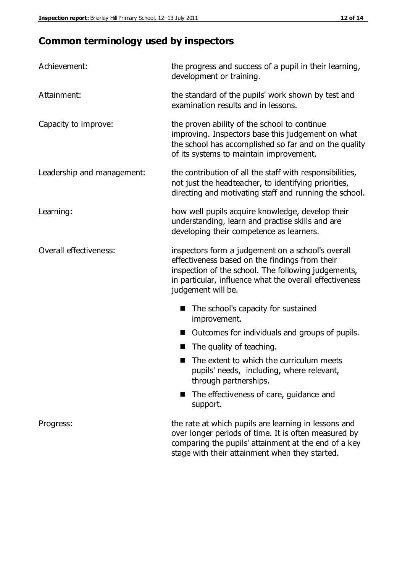# **Common terminology used by inspectors**

| Achievement:               | the progress and success of a pupil in their learning,<br>development or training.                                                                                                                                                          |  |  |
|----------------------------|---------------------------------------------------------------------------------------------------------------------------------------------------------------------------------------------------------------------------------------------|--|--|
| Attainment:                | the standard of the pupils' work shown by test and<br>examination results and in lessons.                                                                                                                                                   |  |  |
| Capacity to improve:       | the proven ability of the school to continue<br>improving. Inspectors base this judgement on what<br>the school has accomplished so far and on the quality<br>of its systems to maintain improvement.                                       |  |  |
| Leadership and management: | the contribution of all the staff with responsibilities,<br>not just the headteacher, to identifying priorities,<br>directing and motivating staff and running the school.                                                                  |  |  |
| Learning:                  | how well pupils acquire knowledge, develop their<br>understanding, learn and practise skills and are<br>developing their competence as learners.                                                                                            |  |  |
| Overall effectiveness:     | inspectors form a judgement on a school's overall<br>effectiveness based on the findings from their<br>inspection of the school. The following judgements,<br>in particular, influence what the overall effectiveness<br>judgement will be. |  |  |
|                            | The school's capacity for sustained<br>improvement.                                                                                                                                                                                         |  |  |
|                            | Outcomes for individuals and groups of pupils.                                                                                                                                                                                              |  |  |
|                            | The quality of teaching.                                                                                                                                                                                                                    |  |  |
|                            | The extent to which the curriculum meets<br>pupils' needs, including, where relevant,<br>through partnerships.                                                                                                                              |  |  |
|                            | The effectiveness of care, guidance and<br>support.                                                                                                                                                                                         |  |  |
| Progress:                  | the rate at which pupils are learning in lessons and<br>over longer periods of time. It is often measured by<br>comparing the pupils' attainment at the end of a key                                                                        |  |  |

stage with their attainment when they started.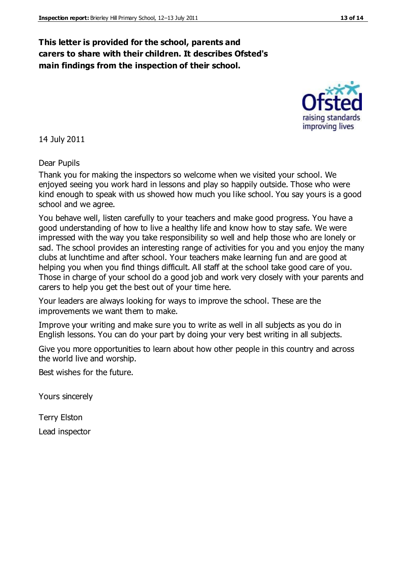### **This letter is provided for the school, parents and carers to share with their children. It describes Ofsted's main findings from the inspection of their school.**

14 July 2011

Dear Pupils

Thank you for making the inspectors so welcome when we visited your school. We enjoyed seeing you work hard in lessons and play so happily outside. Those who were kind enough to speak with us showed how much you like school. You say yours is a good school and we agree.

You behave well, listen carefully to your teachers and make good progress. You have a good understanding of how to live a healthy life and know how to stay safe. We were impressed with the way you take responsibility so well and help those who are lonely or sad. The school provides an interesting range of activities for you and you enjoy the many clubs at lunchtime and after school. Your teachers make learning fun and are good at helping you when you find things difficult. All staff at the school take good care of you. Those in charge of your school do a good job and work very closely with your parents and carers to help you get the best out of your time here.

Your leaders are always looking for ways to improve the school. These are the improvements we want them to make.

Improve your writing and make sure you to write as well in all subjects as you do in English lessons. You can do your part by doing your very best writing in all subjects.

Give you more opportunities to learn about how other people in this country and across the world live and worship.

Best wishes for the future.

Yours sincerely

Terry Elston Lead inspector